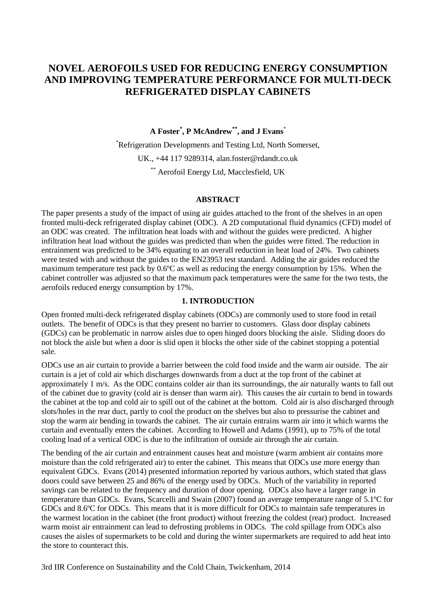# **NOVEL AEROFOILS USED FOR REDUCING ENERGY CONSUMPTION AND IMPROVING TEMPERATURE PERFORMANCE FOR MULTI-DECK REFRIGERATED DISPLAY CABINETS**

#### **A Foster\* , P McAndrew\*\*, and J Evans**\*

\*Refrigeration Developments and Testing Ltd, North Somerset, UK., +44 117 9289314, alan.foster@rdandt.co.uk \*\* Aerofoil Energy Ltd, Macclesfield, UK

#### **ABSTRACT**

The paper presents a study of the impact of using air guides attached to the front of the shelves in an open fronted multi-deck refrigerated display cabinet (ODC). A 2D computational fluid dynamics (CFD) model of an ODC was created. The infiltration heat loads with and without the guides were predicted. A higher infiltration heat load without the guides was predicted than when the guides were fitted. The reduction in entrainment was predicted to be 34% equating to an overall reduction in heat load of 24%. Two cabinets were tested with and without the guides to the EN23953 test standard. Adding the air guides reduced the maximum temperature test pack by 0.6ºC as well as reducing the energy consumption by 15%. When the cabinet controller was adjusted so that the maximum pack temperatures were the same for the two tests, the aerofoils reduced energy consumption by 17%.

#### **1. INTRODUCTION**

Open fronted multi-deck refrigerated display cabinets (ODCs) are commonly used to store food in retail outlets. The benefit of ODCs is that they present no barrier to customers. Glass door display cabinets (GDCs) can be problematic in narrow aisles due to open hinged doors blocking the aisle. Sliding doors do not block the aisle but when a door is slid open it blocks the other side of the cabinet stopping a potential sale.

ODCs use an air curtain to provide a barrier between the cold food inside and the warm air outside. The air curtain is a jet of cold air which discharges downwards from a duct at the top front of the cabinet at approximately 1 m/s. As the ODC contains colder air than its surroundings, the air naturally wants to fall out of the cabinet due to gravity (cold air is denser than warm air). This causes the air curtain to bend in towards the cabinet at the top and cold air to spill out of the cabinet at the bottom. Cold air is also discharged through slots/holes in the rear duct, partly to cool the product on the shelves but also to pressurise the cabinet and stop the warm air bending in towards the cabinet. The air curtain entrains warm air into it which warms the curtain and eventually enters the cabinet. According to Howell and Adams (1991), up to 75% of the total cooling load of a vertical ODC is due to the infiltration of outside air through the air curtain.

The bending of the air curtain and entrainment causes heat and moisture (warm ambient air contains more moisture than the cold refrigerated air) to enter the cabinet. This means that ODCs use more energy than equivalent GDCs. Evans (2014) presented information reported by various authors, which stated that glass doors could save between 25 and 86% of the energy used by ODCs. Much of the variability in reported savings can be related to the frequency and duration of door opening. ODCs also have a larger range in temperature than GDCs. Evans, Scarcelli and Swain (2007) found an average temperature range of 5.1ºC for GDCs and 8.6ºC for ODCs. This means that it is more difficult for ODCs to maintain safe temperatures in the warmest location in the cabinet (the front product) without freezing the coldest (rear) product. Increased warm moist air entrainment can lead to defrosting problems in ODCs. The cold spillage from ODCs also causes the aisles of supermarkets to be cold and during the winter supermarkets are required to add heat into the store to counteract this.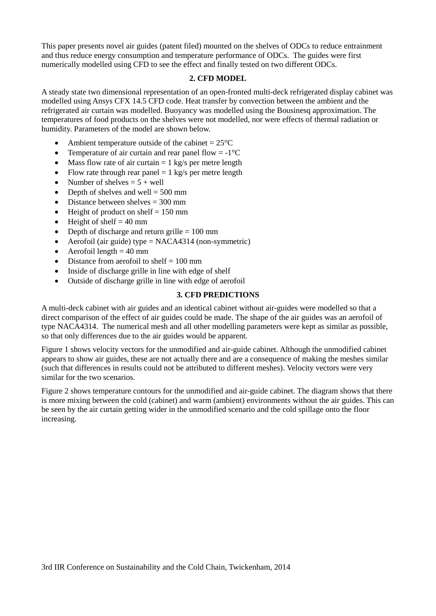This paper presents novel air guides (patent filed) mounted on the shelves of ODCs to reduce entrainment and thus reduce energy consumption and temperature performance of ODCs. The guides were first numerically modelled using CFD to see the effect and finally tested on two different ODCs.

### **2. CFD MODEL**

A steady state two dimensional representation of an open-fronted multi-deck refrigerated display cabinet was modelled using Ansys CFX 14.5 CFD code. Heat transfer by convection between the ambient and the refrigerated air curtain was modelled. Buoyancy was modelled using the Bousinesq approximation. The temperatures of food products on the shelves were not modelled, nor were effects of thermal radiation or humidity. Parameters of the model are shown below.

- Ambient temperature outside of the cabinet  $= 25^{\circ}C$
- Temperature of air curtain and rear panel flow  $= -1$ °C
- Mass flow rate of air curtain  $= 1$  kg/s per metre length
- Flow rate through rear panel  $= 1$  kg/s per metre length
- Number of shelves  $= 5 +$  well
- Depth of shelves and well  $= 500$  mm
- $\bullet$  Distance between shelves = 300 mm
- $\bullet$  Height of product on shelf = 150 mm
- $\bullet$  Height of shelf = 40 mm
- Depth of discharge and return grille  $= 100$  mm
- Aerofoil (air guide) type  $= NACA4314$  (non-symmetric)
- $\bullet$  Aerofoil length = 40 mm
- $\bullet$  Distance from aerofoil to shelf = 100 mm
- Inside of discharge grille in line with edge of shelf
- Outside of discharge grille in line with edge of aerofoil

#### **3. CFD PREDICTIONS**

A multi-deck cabinet with air guides and an identical cabinet without air-guides were modelled so that a direct comparison of the effect of air guides could be made. The shape of the air guides was an aerofoil of type NACA4314. The numerical mesh and all other modelling parameters were kept as similar as possible, so that only differences due to the air guides would be apparent.

Figure 1 shows velocity vectors for the unmodified and air-guide cabinet. Although the unmodified cabinet appears to show air guides, these are not actually there and are a consequence of making the meshes similar (such that differences in results could not be attributed to different meshes). Velocity vectors were very similar for the two scenarios.

Figure 2 shows temperature contours for the unmodified and air-guide cabinet. The diagram shows that there is more mixing between the cold (cabinet) and warm (ambient) environments without the air guides. This can be seen by the air curtain getting wider in the unmodified scenario and the cold spillage onto the floor increasing.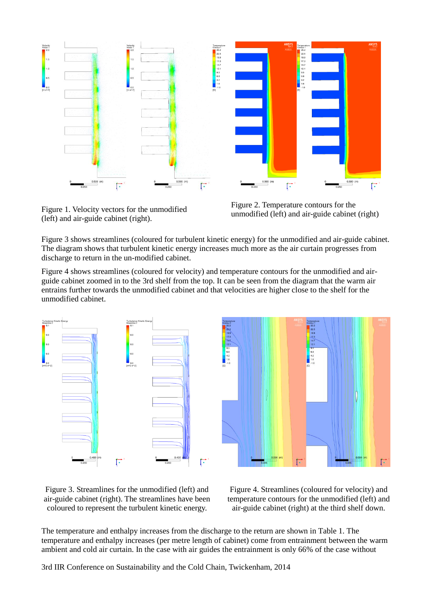

Figure 1. Velocity vectors for the unmodified (left) and air-guide cabinet (right).

Figure 2. Temperature contours for the unmodified (left) and air-guide cabinet (right)

Figure 3 shows streamlines (coloured for turbulent kinetic energy) for the unmodified and air-guide cabinet. The diagram shows that turbulent kinetic energy increases much more as the air curtain progresses from discharge to return in the un-modified cabinet.

Figure 4 shows streamlines (coloured for velocity) and temperature contours for the unmodified and airguide cabinet zoomed in to the 3rd shelf from the top. It can be seen from the diagram that the warm air entrains further towards the unmodified cabinet and that velocities are higher close to the shelf for the unmodified cabinet.





Figure 3. Streamlines for the unmodified (left) and air-guide cabinet (right). The streamlines have been coloured to represent the turbulent kinetic energy.

Figure 4. Streamlines (coloured for velocity) and temperature contours for the unmodified (left) and air-guide cabinet (right) at the third shelf down.

The temperature and enthalpy increases from the discharge to the return are shown in Table 1. The temperature and enthalpy increases (per metre length of cabinet) come from entrainment between the warm ambient and cold air curtain. In the case with air guides the entrainment is only 66% of the case without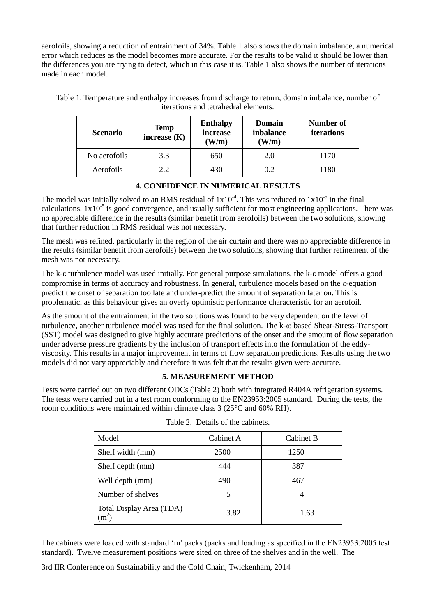aerofoils, showing a reduction of entrainment of 34%. Table 1 also shows the domain imbalance, a numerical error which reduces as the model becomes more accurate. For the results to be valid it should be lower than the differences you are trying to detect, which in this case it is. Table 1 also shows the number of iterations made in each model.

Table 1. Temperature and enthalpy increases from discharge to return, domain imbalance, number of iterations and tetrahedral elements.

| <b>Scenario</b> | <b>Temp</b><br>increase $(K)$ | <b>Enthalpy</b><br>increase<br>(W/m) | Domain<br>inbalance<br>(W/m) | Number of<br>iterations |
|-----------------|-------------------------------|--------------------------------------|------------------------------|-------------------------|
| No aerofoils    | 3.3                           | 650                                  | 2.0                          | 1170                    |
| Aerofoils       | 22                            | 430                                  | 02                           | 1180                    |

### **4. CONFIDENCE IN NUMERICAL RESULTS**

The model was initially solved to an RMS residual of  $1x10^{-4}$ . This was reduced to  $1x10^{-5}$  in the final calculations.  $1x10^{-5}$  is good convergence, and usually sufficient for most engineering applications. There was no appreciable difference in the results (similar benefit from aerofoils) between the two solutions, showing that further reduction in RMS residual was not necessary.

The mesh was refined, particularly in the region of the air curtain and there was no appreciable difference in the results (similar benefit from aerofoils) between the two solutions, showing that further refinement of the mesh was not necessary.

The k- $\epsilon$  turbulence model was used initially. For general purpose simulations, the k- $\epsilon$  model offers a good compromise in terms of accuracy and robustness. In general, turbulence models based on the -equation predict the onset of separation too late and under-predict the amount of separation later on. This is problematic, as this behaviour gives an overly optimistic performance characteristic for an aerofoil.

As the amount of the entrainment in the two solutions was found to be very dependent on the level of turbulence, another turbulence model was used for the final solution. The k- $\omega$  based Shear-Stress-Transport (SST) model was designed to give highly accurate predictions of the onset and the amount of flow separation under adverse pressure gradients by the inclusion of transport effects into the formulation of the eddyviscosity. This results in a major improvement in terms of flow separation predictions. Results using the two models did not vary appreciably and therefore it was felt that the results given were accurate.

### **5. MEASUREMENT METHOD**

Tests were carried out on two different ODCs (Table 2) both with integrated R404A refrigeration systems. The tests were carried out in a test room conforming to the EN23953:2005 standard. During the tests, the room conditions were maintained within climate class 3 (25°C and 60% RH).

| Model                               | Cabinet A | Cabinet B |
|-------------------------------------|-----------|-----------|
| Shelf width (mm)                    | 2500      | 1250      |
| Shelf depth (mm)                    | 444       | 387       |
| Well depth (mm)                     | 490       | 467       |
| Number of shelves                   |           |           |
| Total Display Area (TDA)<br>$(m^2)$ | 3.82      | 1.63      |

|  |  |  | Table 2. Details of the cabinets. |
|--|--|--|-----------------------------------|
|--|--|--|-----------------------------------|

The cabinets were loaded with standard 'm' packs (packs and loading as specified in the EN23953:2005 test standard). Twelve measurement positions were sited on three of the shelves and in the well. The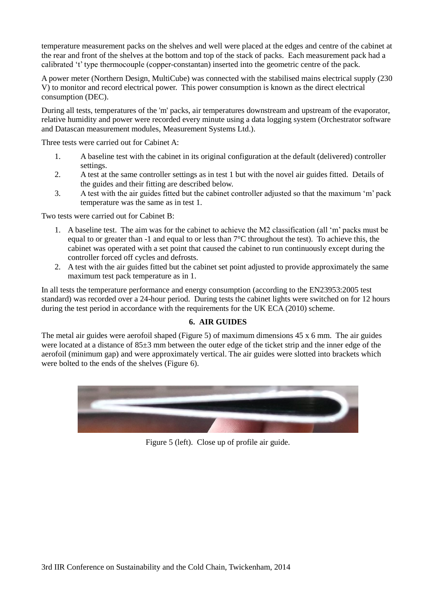temperature measurement packs on the shelves and well were placed at the edges and centre of the cabinet at the rear and front of the shelves at the bottom and top of the stack of packs. Each measurement pack had a calibrated 't' type thermocouple (copper-constantan) inserted into the geometric centre of the pack.

A power meter (Northern Design, MultiCube) was connected with the stabilised mains electrical supply (230 V) to monitor and record electrical power. This power consumption is known as the direct electrical consumption (DEC).

During all tests, temperatures of the 'm' packs, air temperatures downstream and upstream of the evaporator, relative humidity and power were recorded every minute using a data logging system (Orchestrator software and Datascan measurement modules, Measurement Systems Ltd.).

Three tests were carried out for Cabinet A:

- 1. A baseline test with the cabinet in its original configuration at the default (delivered) controller settings.
- 2. A test at the same controller settings as in test 1 but with the novel air guides fitted. Details of the guides and their fitting are described below.
- 3. A test with the air guides fitted but the cabinet controller adjusted so that the maximum 'm' pack temperature was the same as in test 1.

Two tests were carried out for Cabinet B:

- 1. A baseline test. The aim was for the cabinet to achieve the M2 classification (all 'm' packs must be equal to or greater than -1 and equal to or less than 7°C throughout the test). To achieve this, the cabinet was operated with a set point that caused the cabinet to run continuously except during the controller forced off cycles and defrosts.
- 2. A test with the air guides fitted but the cabinet set point adjusted to provide approximately the same maximum test pack temperature as in 1.

In all tests the temperature performance and energy consumption (according to the EN23953:2005 test standard) was recorded over a 24-hour period. During tests the cabinet lights were switched on for 12 hours during the test period in accordance with the requirements for the UK ECA (2010) scheme.

### **6. AIR GUIDES**

The metal air guides were aerofoil shaped (Figure 5) of maximum dimensions 45 x 6 mm. The air guides were located at a distance of 85±3 mm between the outer edge of the ticket strip and the inner edge of the aerofoil (minimum gap) and were approximately vertical. The air guides were slotted into brackets which were bolted to the ends of the shelves (Figure 6).



Figure 5 (left). Close up of profile air guide.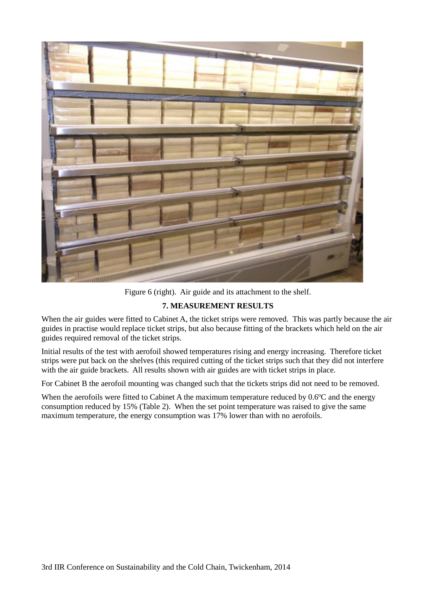

Figure 6 (right). Air guide and its attachment to the shelf.

## **7. MEASUREMENT RESULTS**

When the air guides were fitted to Cabinet A, the ticket strips were removed. This was partly because the air guides in practise would replace ticket strips, but also because fitting of the brackets which held on the air guides required removal of the ticket strips.

Initial results of the test with aerofoil showed temperatures rising and energy increasing. Therefore ticket strips were put back on the shelves (this required cutting of the ticket strips such that they did not interfere with the air guide brackets. All results shown with air guides are with ticket strips in place.

For Cabinet B the aerofoil mounting was changed such that the tickets strips did not need to be removed.

When the aerofoils were fitted to Cabinet A the maximum temperature reduced by  $0.6^{\circ}$ C and the energy consumption reduced by 15% (Table 2). When the set point temperature was raised to give the same maximum temperature, the energy consumption was 17% lower than with no aerofoils.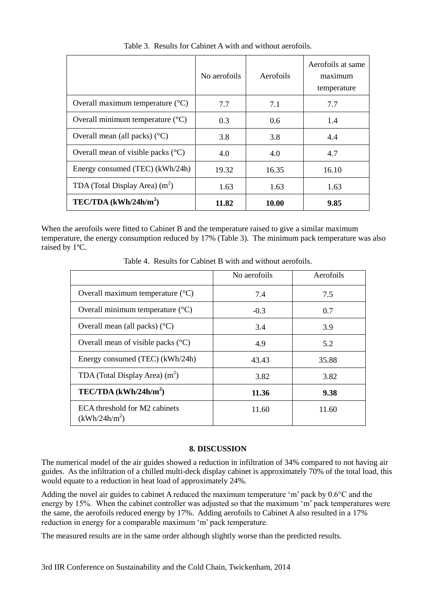|                                             | No aerofoils | Aerofoils | Aerofoils at same<br>maximum<br>temperature |
|---------------------------------------------|--------------|-----------|---------------------------------------------|
| Overall maximum temperature $(^{\circ}C)$   | 7.7          | 7.1       | 7.7                                         |
| Overall minimum temperature $({}^{\circ}C)$ | 0.3          | 0.6       | 1.4                                         |
| Overall mean (all packs) $(^{\circ}C)$      | 3.8          | 3.8       | 4.4                                         |
| Overall mean of visible packs $(^{\circ}C)$ | 4.0          | 4.0       | 4.7                                         |
| Energy consumed (TEC) (kWh/24h)             | 19.32        | 16.35     | 16.10                                       |
| TDA (Total Display Area) $(m2)$             | 1.63         | 1.63      | 1.63                                        |
| $TEC/TDA$ (kWh/24h/m <sup>2</sup> )         | 11.82        | 10.00     | 9.85                                        |

Table 3. Results for Cabinet A with and without aerofoils.

When the aerofoils were fitted to Cabinet B and the temperature raised to give a similar maximum temperature, the energy consumption reduced by 17% (Table 3). The minimum pack temperature was also raised by 1ºC.

Table 4. Results for Cabinet B with and without aerofoils.

|                                                  | No aerofoils | Aerofoils |
|--------------------------------------------------|--------------|-----------|
| Overall maximum temperature $(^{\circ}C)$        | 7.4          | 7.5       |
| Overall minimum temperature $(^{\circ}C)$        | $-0.3$       | 0.7       |
| Overall mean (all packs) $({}^{\circ}C)$         | 3.4          | 3.9       |
| Overall mean of visible packs $({}^{\circ}C)$    | 4.9          | 5.2       |
| Energy consumed (TEC) (kWh/24h)                  | 43.43        | 35.88     |
| TDA (Total Display Area) $(m2)$                  | 3.82         | 3.82      |
| $TEC/TDA$ (kWh/24h/m <sup>2</sup> )              | 11.36        | 9.38      |
| ECA threshold for M2 cabinets<br>$(kWh/24h/m^2)$ | 11.60        | 11.60     |

#### **8. DISCUSSION**

The numerical model of the air guides showed a reduction in infiltration of 34% compared to not having air guides. As the infiltration of a chilled multi-deck display cabinet is approximately 70% of the total load, this would equate to a reduction in heat load of approximately 24%.

Adding the novel air guides to cabinet A reduced the maximum temperature 'm' pack by 0.6°C and the energy by 15%. When the cabinet controller was adjusted so that the maximum 'm' pack temperatures were the same, the aerofoils reduced energy by 17%. Adding aerofoils to Cabinet A also resulted in a 17% reduction in energy for a comparable maximum 'm' pack temperature.

The measured results are in the same order although slightly worse than the predicted results.